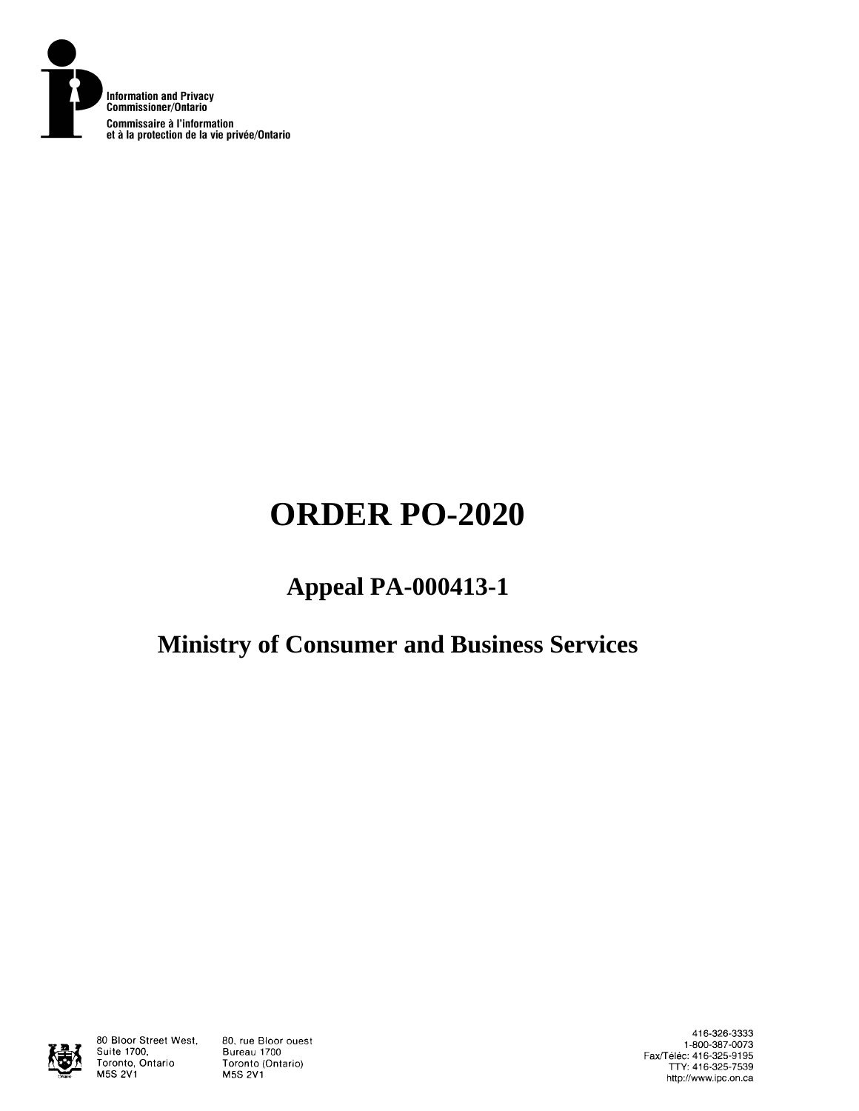

# **ORDER PO-2020**

## **Appeal PA-000413-1**

## **Ministry of Consumer and Business Services**



80 Bloor Street West, Suite 1700, Toronto, Ontario **M5S 2V1** 

80, rue Bloor ouest Bureau 1700 Toronto (Ontario) **M5S 2V1** 

416-326-3333 1-800-387-0073 Fax/Téléc: 416-325-9195<br>TTY: 416-325-7539 http://www.ipc.on.ca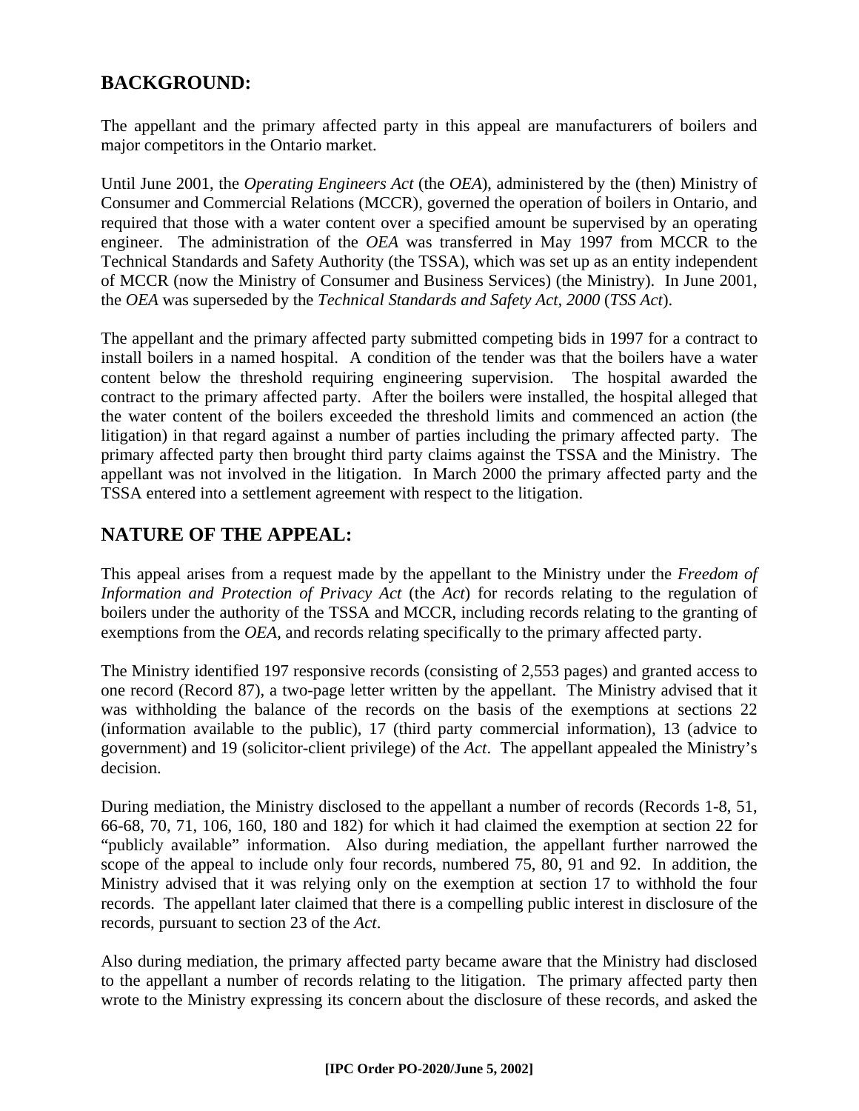## **BACKGROUND:**

The appellant and the primary affected party in this appeal are manufacturers of boilers and major competitors in the Ontario market.

Until June 2001, the *Operating Engineers Act* (the *OEA*), administered by the (then) Ministry of Consumer and Commercial Relations (MCCR), governed the operation of boilers in Ontario, and required that those with a water content over a specified amount be supervised by an operating engineer. The administration of the *OEA* was transferred in May 1997 from MCCR to the Technical Standards and Safety Authority (the TSSA), which was set up as an entity independent of MCCR (now the Ministry of Consumer and Business Services) (the Ministry). In June 2001, the *OEA* was superseded by the *Technical Standards and Safety Act, 2000* (*TSS Act*).

The appellant and the primary affected party submitted competing bids in 1997 for a contract to install boilers in a named hospital. A condition of the tender was that the boilers have a water content below the threshold requiring engineering supervision. The hospital awarded the contract to the primary affected party. After the boilers were installed, the hospital alleged that the water content of the boilers exceeded the threshold limits and commenced an action (the litigation) in that regard against a number of parties including the primary affected party. The primary affected party then brought third party claims against the TSSA and the Ministry. The appellant was not involved in the litigation. In March 2000 the primary affected party and the TSSA entered into a settlement agreement with respect to the litigation.

## **NATURE OF THE APPEAL:**

This appeal arises from a request made by the appellant to the Ministry under the *Freedom of Information and Protection of Privacy Act* (the *Act*) for records relating to the regulation of boilers under the authority of the TSSA and MCCR, including records relating to the granting of exemptions from the *OEA*, and records relating specifically to the primary affected party.

The Ministry identified 197 responsive records (consisting of 2,553 pages) and granted access to one record (Record 87), a two-page letter written by the appellant. The Ministry advised that it was withholding the balance of the records on the basis of the exemptions at sections 22 (information available to the public), 17 (third party commercial information), 13 (advice to government) and 19 (solicitor-client privilege) of the *Act*. The appellant appealed the Ministry's decision.

During mediation, the Ministry disclosed to the appellant a number of records (Records 1-8, 51, 66-68, 70, 71, 106, 160, 180 and 182) for which it had claimed the exemption at section 22 for "publicly available" information. Also during mediation, the appellant further narrowed the scope of the appeal to include only four records, numbered 75, 80, 91 and 92. In addition, the Ministry advised that it was relying only on the exemption at section 17 to withhold the four records. The appellant later claimed that there is a compelling public interest in disclosure of the records, pursuant to section 23 of the *Act*.

Also during mediation, the primary affected party became aware that the Ministry had disclosed to the appellant a number of records relating to the litigation. The primary affected party then wrote to the Ministry expressing its concern about the disclosure of these records, and asked the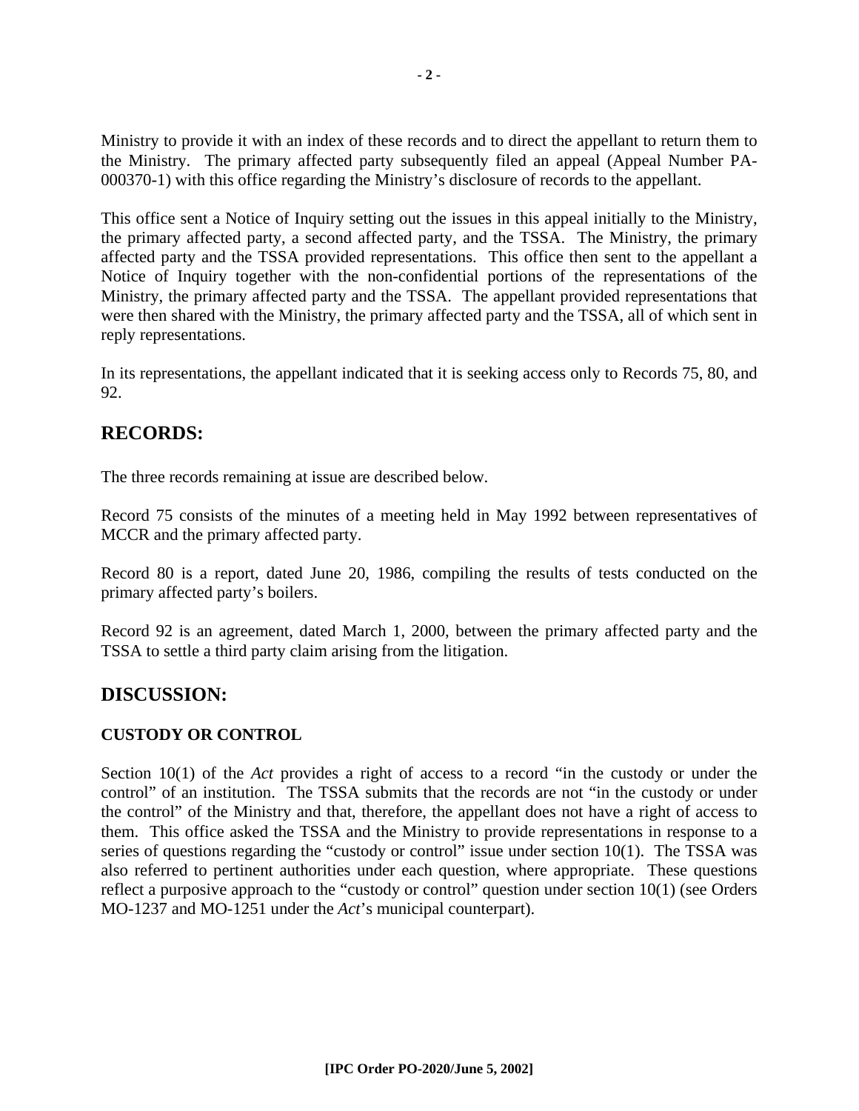Ministry to provide it with an index of these records and to direct the appellant to return them to the Ministry. The primary affected party subsequently filed an appeal (Appeal Number PA-000370-1) with this office regarding the Ministry's disclosure of records to the appellant.

This office sent a Notice of Inquiry setting out the issues in this appeal initially to the Ministry, the primary affected party, a second affected party, and the TSSA. The Ministry, the primary affected party and the TSSA provided representations. This office then sent to the appellant a Notice of Inquiry together with the non-confidential portions of the representations of the Ministry, the primary affected party and the TSSA. The appellant provided representations that were then shared with the Ministry, the primary affected party and the TSSA, all of which sent in reply representations.

In its representations, the appellant indicated that it is seeking access only to Records 75, 80, and 92.

### **RECORDS:**

The three records remaining at issue are described below.

Record 75 consists of the minutes of a meeting held in May 1992 between representatives of MCCR and the primary affected party.

Record 80 is a report, dated June 20, 1986, compiling the results of tests conducted on the primary affected party's boilers.

Record 92 is an agreement, dated March 1, 2000, between the primary affected party and the TSSA to settle a third party claim arising from the litigation.

### **DISCUSSION:**

#### **CUSTODY OR CONTROL**

Section 10(1) of the *Act* provides a right of access to a record "in the custody or under the control" of an institution. The TSSA submits that the records are not "in the custody or under the control" of the Ministry and that, therefore, the appellant does not have a right of access to them. This office asked the TSSA and the Ministry to provide representations in response to a series of questions regarding the "custody or control" issue under section  $10(1)$ . The TSSA was also referred to pertinent authorities under each question, where appropriate. These questions reflect a purposive approach to the "custody or control" question under section 10(1) (see Orders MO-1237 and MO-1251 under the *Act*'s municipal counterpart).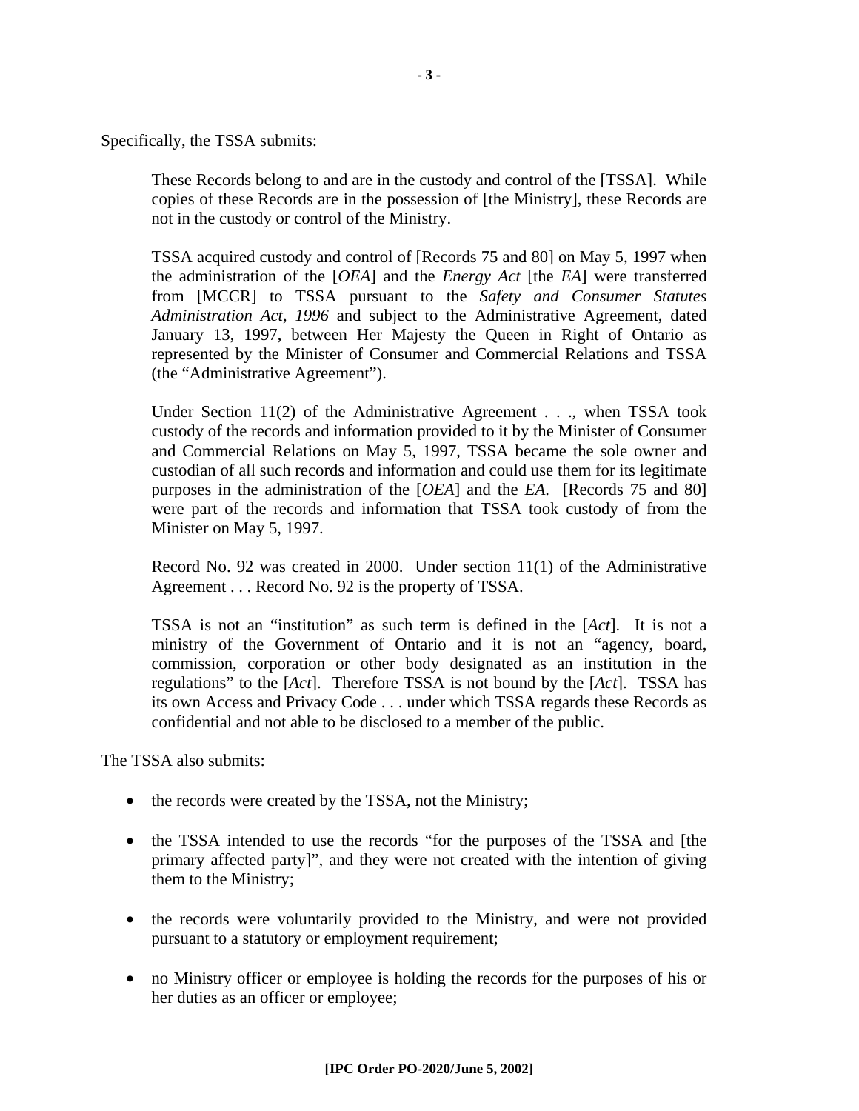Specifically, the TSSA submits:

These Records belong to and are in the custody and control of the [TSSA]. While copies of these Records are in the possession of [the Ministry], these Records are not in the custody or control of the Ministry.

TSSA acquired custody and control of [Records 75 and 80] on May 5, 1997 when the administration of the [*OEA*] and the *Energy Act* [the *EA*] were transferred from [MCCR] to TSSA pursuant to the *Safety and Consumer Statutes Administration Act, 1996* and subject to the Administrative Agreement, dated January 13, 1997, between Her Majesty the Queen in Right of Ontario as represented by the Minister of Consumer and Commercial Relations and TSSA (the "Administrative Agreement").

Under Section 11(2) of the Administrative Agreement . . ., when TSSA took custody of the records and information provided to it by the Minister of Consumer and Commercial Relations on May 5, 1997, TSSA became the sole owner and custodian of all such records and information and could use them for its legitimate purposes in the administration of the [*OEA*] and the *EA*. [Records 75 and 80] were part of the records and information that TSSA took custody of from the Minister on May 5, 1997.

Record No. 92 was created in 2000. Under section 11(1) of the Administrative Agreement . . . Record No. 92 is the property of TSSA.

TSSA is not an "institution" as such term is defined in the [*Act*]. It is not a ministry of the Government of Ontario and it is not an "agency, board, commission, corporation or other body designated as an institution in the regulations" to the [*Act*]. Therefore TSSA is not bound by the [*Act*]. TSSA has its own Access and Privacy Code . . . under which TSSA regards these Records as confidential and not able to be disclosed to a member of the public.

The TSSA also submits:

- the records were created by the TSSA, not the Ministry;
- the TSSA intended to use the records "for the purposes of the TSSA and [the primary affected party]", and they were not created with the intention of giving them to the Ministry;
- the records were voluntarily provided to the Ministry, and were not provided pursuant to a statutory or employment requirement;
- no Ministry officer or employee is holding the records for the purposes of his or her duties as an officer or employee;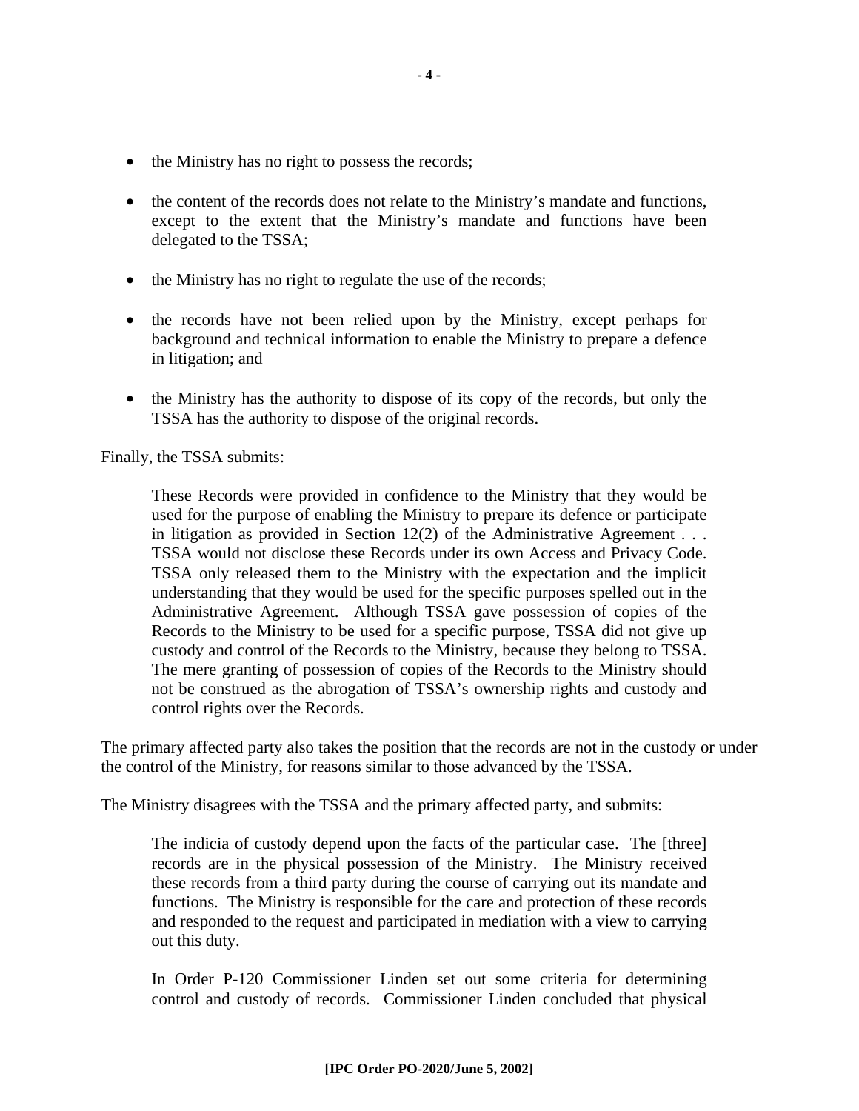- the Ministry has no right to possess the records;
- the content of the records does not relate to the Ministry's mandate and functions, except to the extent that the Ministry's mandate and functions have been delegated to the TSSA;
- the Ministry has no right to regulate the use of the records;
- the records have not been relied upon by the Ministry, except perhaps for background and technical information to enable the Ministry to prepare a defence in litigation; and
- the Ministry has the authority to dispose of its copy of the records, but only the TSSA has the authority to dispose of the original records.

Finally, the TSSA submits:

These Records were provided in confidence to the Ministry that they would be used for the purpose of enabling the Ministry to prepare its defence or participate in litigation as provided in Section 12(2) of the Administrative Agreement . . . TSSA would not disclose these Records under its own Access and Privacy Code. TSSA only released them to the Ministry with the expectation and the implicit understanding that they would be used for the specific purposes spelled out in the Administrative Agreement. Although TSSA gave possession of copies of the Records to the Ministry to be used for a specific purpose, TSSA did not give up custody and control of the Records to the Ministry, because they belong to TSSA. The mere granting of possession of copies of the Records to the Ministry should not be construed as the abrogation of TSSA's ownership rights and custody and control rights over the Records.

The primary affected party also takes the position that the records are not in the custody or under the control of the Ministry, for reasons similar to those advanced by the TSSA.

The Ministry disagrees with the TSSA and the primary affected party, and submits:

The indicia of custody depend upon the facts of the particular case. The [three] records are in the physical possession of the Ministry. The Ministry received these records from a third party during the course of carrying out its mandate and functions. The Ministry is responsible for the care and protection of these records and responded to the request and participated in mediation with a view to carrying out this duty.

In Order P-120 Commissioner Linden set out some criteria for determining control and custody of records. Commissioner Linden concluded that physical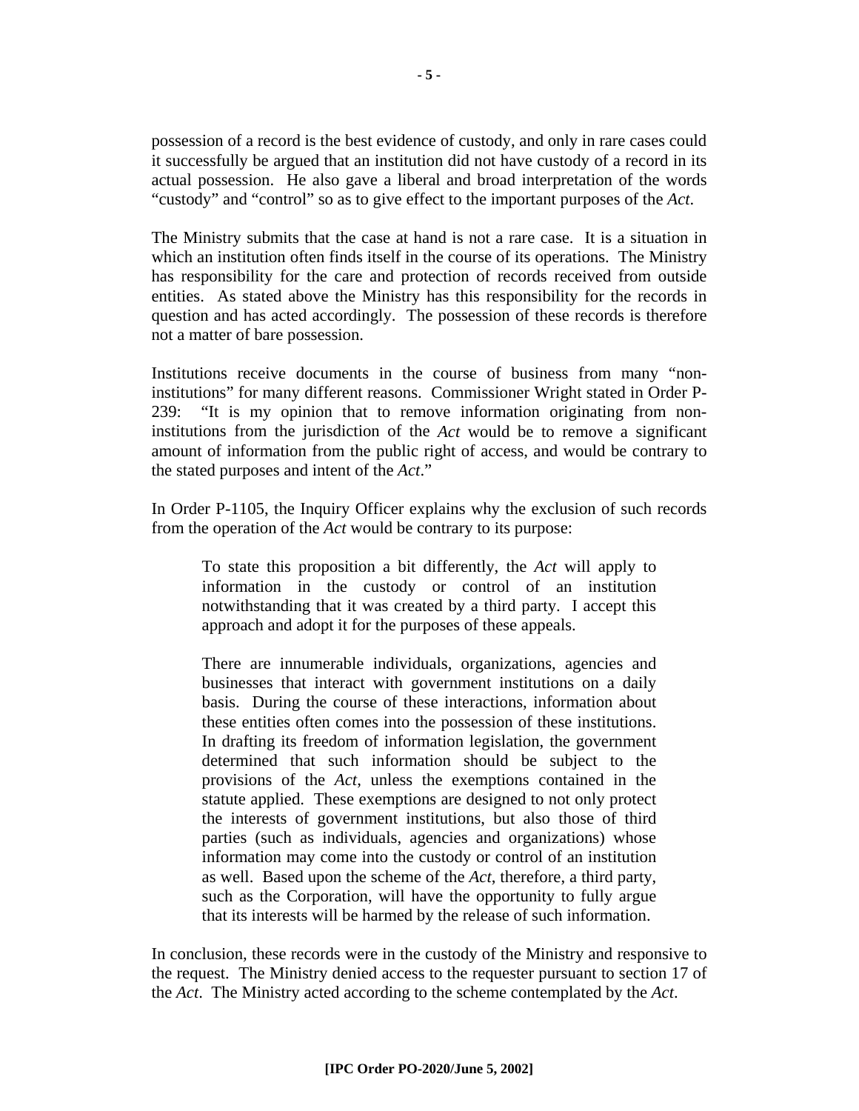possession of a record is the best evidence of custody, and only in rare cases could it successfully be argued that an institution did not have custody of a record in its actual possession. He also gave a liberal and broad interpretation of the words "custody" and "control" so as to give effect to the important purposes of the *Act*.

The Ministry submits that the case at hand is not a rare case. It is a situation in which an institution often finds itself in the course of its operations. The Ministry has responsibility for the care and protection of records received from outside entities. As stated above the Ministry has this responsibility for the records in question and has acted accordingly. The possession of these records is therefore not a matter of bare possession.

Institutions receive documents in the course of business from many "noninstitutions" for many different reasons. Commissioner Wright stated in Order P-239: "It is my opinion that to remove information originating from noninstitutions from the jurisdiction of the *Act* would be to remove a significant amount of information from the public right of access, and would be contrary to the stated purposes and intent of the *Act*."

In Order P-1105, the Inquiry Officer explains why the exclusion of such records from the operation of the *Act* would be contrary to its purpose:

To state this proposition a bit differently, the *Act* will apply to information in the custody or control of an institution notwithstanding that it was created by a third party. I accept this approach and adopt it for the purposes of these appeals.

There are innumerable individuals, organizations, agencies and businesses that interact with government institutions on a daily basis. During the course of these interactions, information about these entities often comes into the possession of these institutions. In drafting its freedom of information legislation, the government determined that such information should be subject to the provisions of the *Act*, unless the exemptions contained in the statute applied. These exemptions are designed to not only protect the interests of government institutions, but also those of third parties (such as individuals, agencies and organizations) whose information may come into the custody or control of an institution as well. Based upon the scheme of the *Act*, therefore, a third party, such as the Corporation, will have the opportunity to fully argue that its interests will be harmed by the release of such information.

In conclusion, these records were in the custody of the Ministry and responsive to the request. The Ministry denied access to the requester pursuant to section 17 of the *Act*. The Ministry acted according to the scheme contemplated by the *Act*.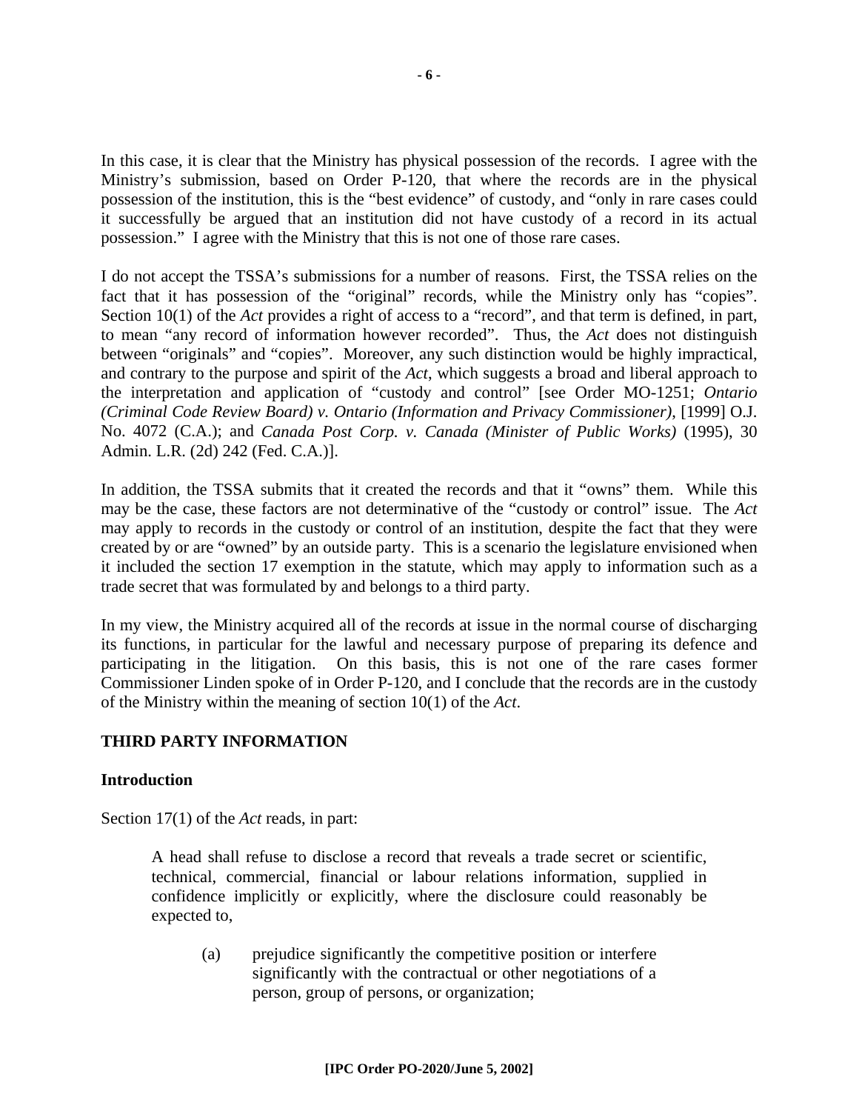In this case, it is clear that the Ministry has physical possession of the records. I agree with the Ministry's submission, based on Order P-120, that where the records are in the physical possession of the institution, this is the "best evidence" of custody, and "only in rare cases could it successfully be argued that an institution did not have custody of a record in its actual possession." I agree with the Ministry that this is not one of those rare cases.

I do not accept the TSSA's submissions for a number of reasons. First, the TSSA relies on the fact that it has possession of the "original" records, while the Ministry only has "copies". Section 10(1) of the *Act* provides a right of access to a "record", and that term is defined, in part, to mean "any record of information however recorded". Thus, the *Act* does not distinguish between "originals" and "copies". Moreover, any such distinction would be highly impractical, and contrary to the purpose and spirit of the *Act*, which suggests a broad and liberal approach to the interpretation and application of "custody and control" [see Order MO-1251; *Ontario (Criminal Code Review Board) v. Ontario (Information and Privacy Commissioner)*, [1999] O.J. No. 4072 (C.A.); and *Canada Post Corp. v. Canada (Minister of Public Works)* (1995), 30 Admin. L.R. (2d) 242 (Fed. C.A.)].

In addition, the TSSA submits that it created the records and that it "owns" them. While this may be the case, these factors are not determinative of the "custody or control" issue. The *Act* may apply to records in the custody or control of an institution, despite the fact that they were created by or are "owned" by an outside party. This is a scenario the legislature envisioned when it included the section 17 exemption in the statute, which may apply to information such as a trade secret that was formulated by and belongs to a third party.

In my view, the Ministry acquired all of the records at issue in the normal course of discharging its functions, in particular for the lawful and necessary purpose of preparing its defence and participating in the litigation. On this basis, this is not one of the rare cases former Commissioner Linden spoke of in Order P-120, and I conclude that the records are in the custody of the Ministry within the meaning of section 10(1) of the *Act*.

#### **THIRD PARTY INFORMATION**

#### **Introduction**

Section 17(1) of the *Act* reads, in part:

A head shall refuse to disclose a record that reveals a trade secret or scientific, technical, commercial, financial or labour relations information, supplied in confidence implicitly or explicitly, where the disclosure could reasonably be expected to,

(a) prejudice significantly the competitive position or interfere significantly with the contractual or other negotiations of a person, group of persons, or organization;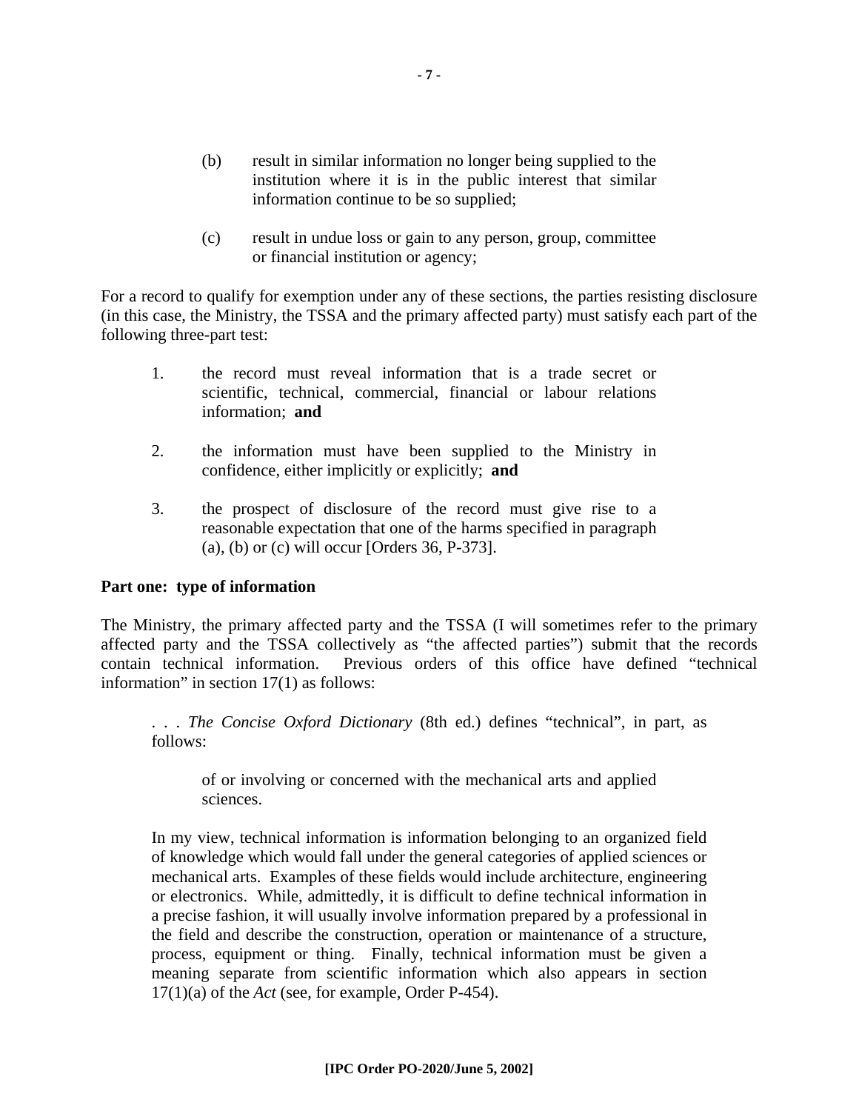- (b) result in similar information no longer being supplied to the institution where it is in the public interest that similar information continue to be so supplied;
- (c) result in undue loss or gain to any person, group, committee or financial institution or agency;

For a record to qualify for exemption under any of these sections, the parties resisting disclosure (in this case, the Ministry, the TSSA and the primary affected party) must satisfy each part of the following three-part test:

- 1. the record must reveal information that is a trade secret or scientific, technical, commercial, financial or labour relations information; **and**
- 2. the information must have been supplied to the Ministry in confidence, either implicitly or explicitly; **and**
- 3. the prospect of disclosure of the record must give rise to a reasonable expectation that one of the harms specified in paragraph (a), (b) or (c) will occur [Orders 36, P-373].

#### **Part one: type of information**

The Ministry, the primary affected party and the TSSA (I will sometimes refer to the primary affected party and the TSSA collectively as "the affected parties") submit that the records contain technical information. Previous orders of this office have defined "technical information" in section 17(1) as follows:

. . . *The Concise Oxford Dictionary* (8th ed.) defines "technical", in part, as follows:

of or involving or concerned with the mechanical arts and applied sciences.

In my view, technical information is information belonging to an organized field of knowledge which would fall under the general categories of applied sciences or mechanical arts. Examples of these fields would include architecture, engineering or electronics. While, admittedly, it is difficult to define technical information in a precise fashion, it will usually involve information prepared by a professional in the field and describe the construction, operation or maintenance of a structure, process, equipment or thing. Finally, technical information must be given a meaning separate from scientific information which also appears in section 17(1)(a) of the *Act* (see, for example, Order P-454).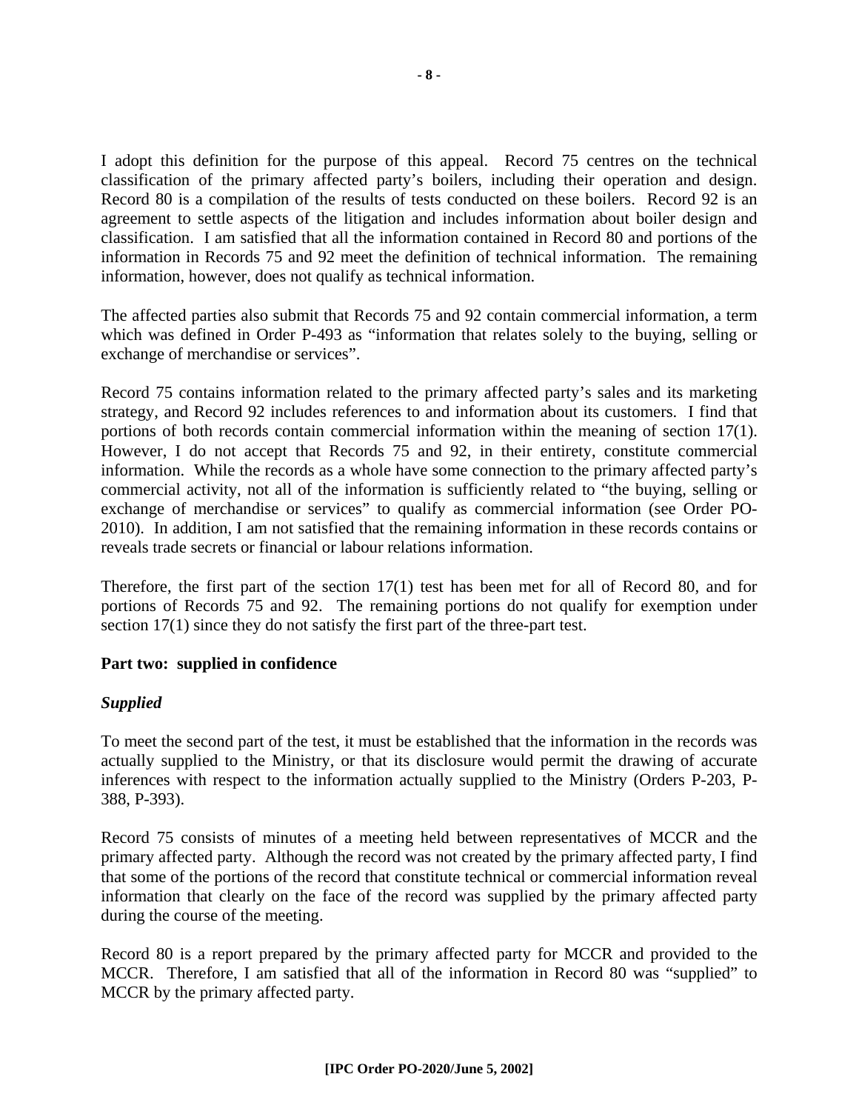I adopt this definition for the purpose of this appeal. Record 75 centres on the technical classification of the primary affected party's boilers, including their operation and design. Record 80 is a compilation of the results of tests conducted on these boilers. Record 92 is an agreement to settle aspects of the litigation and includes information about boiler design and classification. I am satisfied that all the information contained in Record 80 and portions of the information in Records 75 and 92 meet the definition of technical information. The remaining information, however, does not qualify as technical information.

The affected parties also submit that Records 75 and 92 contain commercial information, a term which was defined in Order P-493 as "information that relates solely to the buying, selling or exchange of merchandise or services".

Record 75 contains information related to the primary affected party's sales and its marketing strategy, and Record 92 includes references to and information about its customers. I find that portions of both records contain commercial information within the meaning of section 17(1). However, I do not accept that Records 75 and 92, in their entirety, constitute commercial information. While the records as a whole have some connection to the primary affected party's commercial activity, not all of the information is sufficiently related to "the buying, selling or exchange of merchandise or services" to qualify as commercial information (see Order PO-2010). In addition, I am not satisfied that the remaining information in these records contains or reveals trade secrets or financial or labour relations information.

Therefore, the first part of the section 17(1) test has been met for all of Record 80, and for portions of Records 75 and 92. The remaining portions do not qualify for exemption under section 17(1) since they do not satisfy the first part of the three-part test.

#### **Part two: supplied in confidence**

#### *Supplied*

To meet the second part of the test, it must be established that the information in the records was actually supplied to the Ministry, or that its disclosure would permit the drawing of accurate inferences with respect to the information actually supplied to the Ministry (Orders P-203, P-388, P-393).

Record 75 consists of minutes of a meeting held between representatives of MCCR and the primary affected party. Although the record was not created by the primary affected party, I find that some of the portions of the record that constitute technical or commercial information reveal information that clearly on the face of the record was supplied by the primary affected party during the course of the meeting.

Record 80 is a report prepared by the primary affected party for MCCR and provided to the MCCR. Therefore, I am satisfied that all of the information in Record 80 was "supplied" to MCCR by the primary affected party.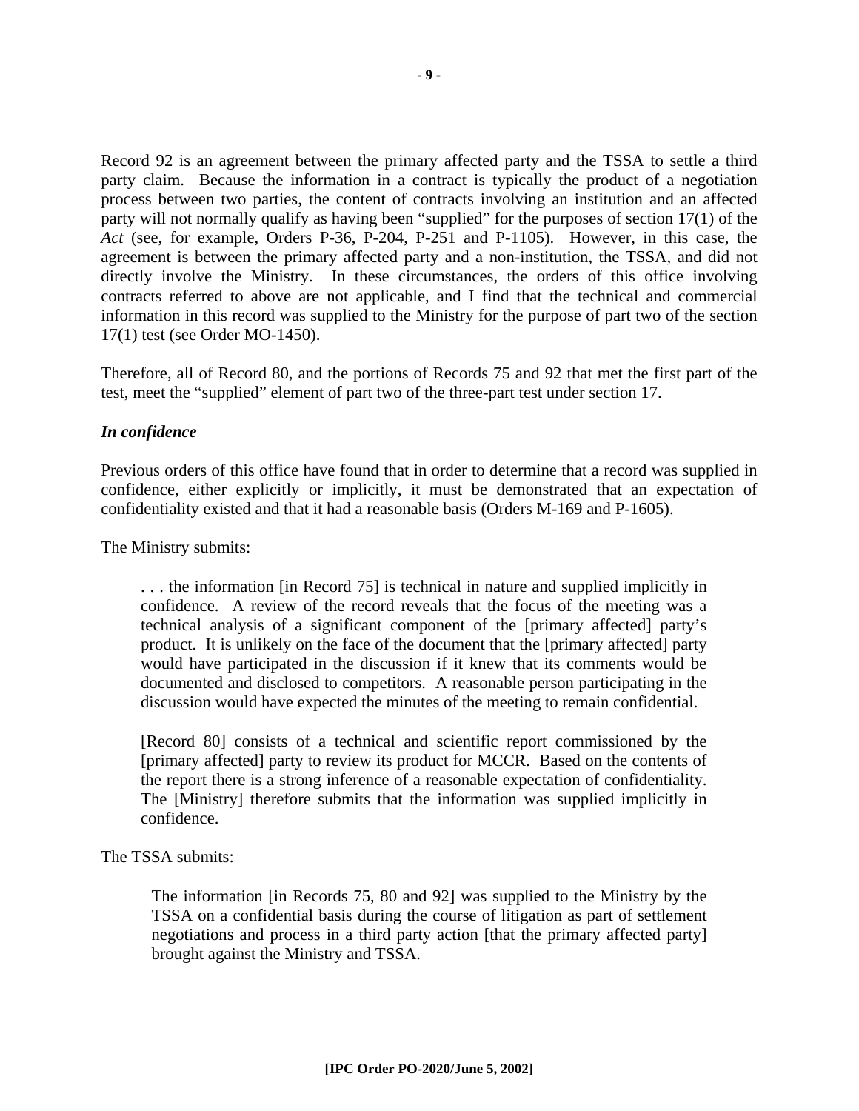Record 92 is an agreement between the primary affected party and the TSSA to settle a third party claim. Because the information in a contract is typically the product of a negotiation process between two parties, the content of contracts involving an institution and an affected party will not normally qualify as having been "supplied" for the purposes of section 17(1) of the *Act* (see, for example, Orders P-36, P-204, P-251 and P-1105). However, in this case, the agreement is between the primary affected party and a non-institution, the TSSA, and did not directly involve the Ministry. In these circumstances, the orders of this office involving contracts referred to above are not applicable, and I find that the technical and commercial information in this record was supplied to the Ministry for the purpose of part two of the section 17(1) test (see Order MO-1450).

Therefore, all of Record 80, and the portions of Records 75 and 92 that met the first part of the test, meet the "supplied" element of part two of the three-part test under section 17.

#### *In confidence*

Previous orders of this office have found that in order to determine that a record was supplied in confidence, either explicitly or implicitly, it must be demonstrated that an expectation of confidentiality existed and that it had a reasonable basis (Orders M-169 and P-1605).

The Ministry submits:

. . . the information [in Record 75] is technical in nature and supplied implicitly in confidence. A review of the record reveals that the focus of the meeting was a technical analysis of a significant component of the [primary affected] party's product. It is unlikely on the face of the document that the [primary affected] party would have participated in the discussion if it knew that its comments would be documented and disclosed to competitors. A reasonable person participating in the discussion would have expected the minutes of the meeting to remain confidential.

[Record 80] consists of a technical and scientific report commissioned by the [primary affected] party to review its product for MCCR. Based on the contents of the report there is a strong inference of a reasonable expectation of confidentiality. The [Ministry] therefore submits that the information was supplied implicitly in confidence.

The TSSA submits:

The information [in Records 75, 80 and 92] was supplied to the Ministry by the TSSA on a confidential basis during the course of litigation as part of settlement negotiations and process in a third party action [that the primary affected party] brought against the Ministry and TSSA.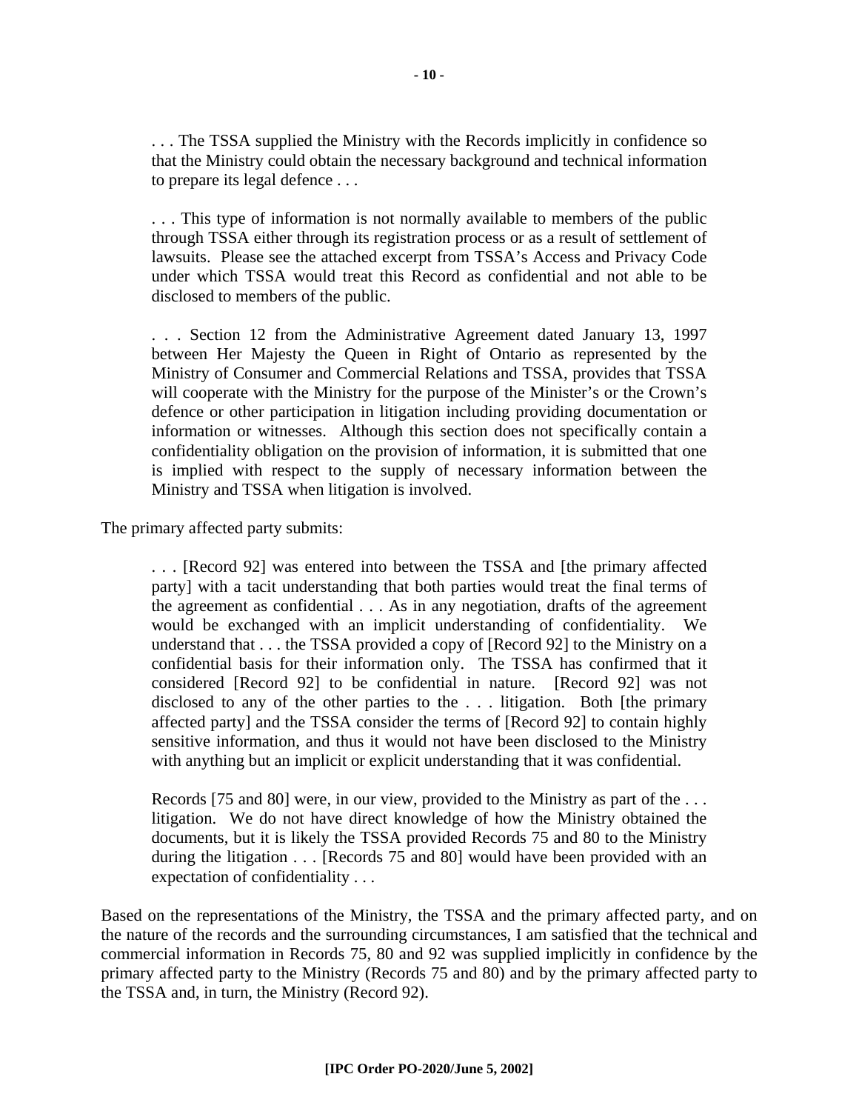. . . The TSSA supplied the Ministry with the Records implicitly in confidence so that the Ministry could obtain the necessary background and technical information to prepare its legal defence . . .

. . . This type of information is not normally available to members of the public through TSSA either through its registration process or as a result of settlement of lawsuits. Please see the attached excerpt from TSSA's Access and Privacy Code under which TSSA would treat this Record as confidential and not able to be disclosed to members of the public.

. . . Section 12 from the Administrative Agreement dated January 13, 1997 between Her Majesty the Queen in Right of Ontario as represented by the Ministry of Consumer and Commercial Relations and TSSA, provides that TSSA will cooperate with the Ministry for the purpose of the Minister's or the Crown's defence or other participation in litigation including providing documentation or information or witnesses. Although this section does not specifically contain a confidentiality obligation on the provision of information, it is submitted that one is implied with respect to the supply of necessary information between the Ministry and TSSA when litigation is involved.

The primary affected party submits:

. . . [Record 92] was entered into between the TSSA and [the primary affected party] with a tacit understanding that both parties would treat the final terms of the agreement as confidential . . . As in any negotiation, drafts of the agreement would be exchanged with an implicit understanding of confidentiality. We understand that . . . the TSSA provided a copy of [Record 92] to the Ministry on a confidential basis for their information only. The TSSA has confirmed that it considered [Record 92] to be confidential in nature. [Record 92] was not disclosed to any of the other parties to the . . . litigation. Both [the primary affected party] and the TSSA consider the terms of [Record 92] to contain highly sensitive information, and thus it would not have been disclosed to the Ministry with anything but an implicit or explicit understanding that it was confidential.

Records [75 and 80] were, in our view, provided to the Ministry as part of the . . . litigation. We do not have direct knowledge of how the Ministry obtained the documents, but it is likely the TSSA provided Records 75 and 80 to the Ministry during the litigation . . . [Records 75 and 80] would have been provided with an expectation of confidentiality . . .

Based on the representations of the Ministry, the TSSA and the primary affected party, and on the nature of the records and the surrounding circumstances, I am satisfied that the technical and commercial information in Records 75, 80 and 92 was supplied implicitly in confidence by the primary affected party to the Ministry (Records 75 and 80) and by the primary affected party to the TSSA and, in turn, the Ministry (Record 92).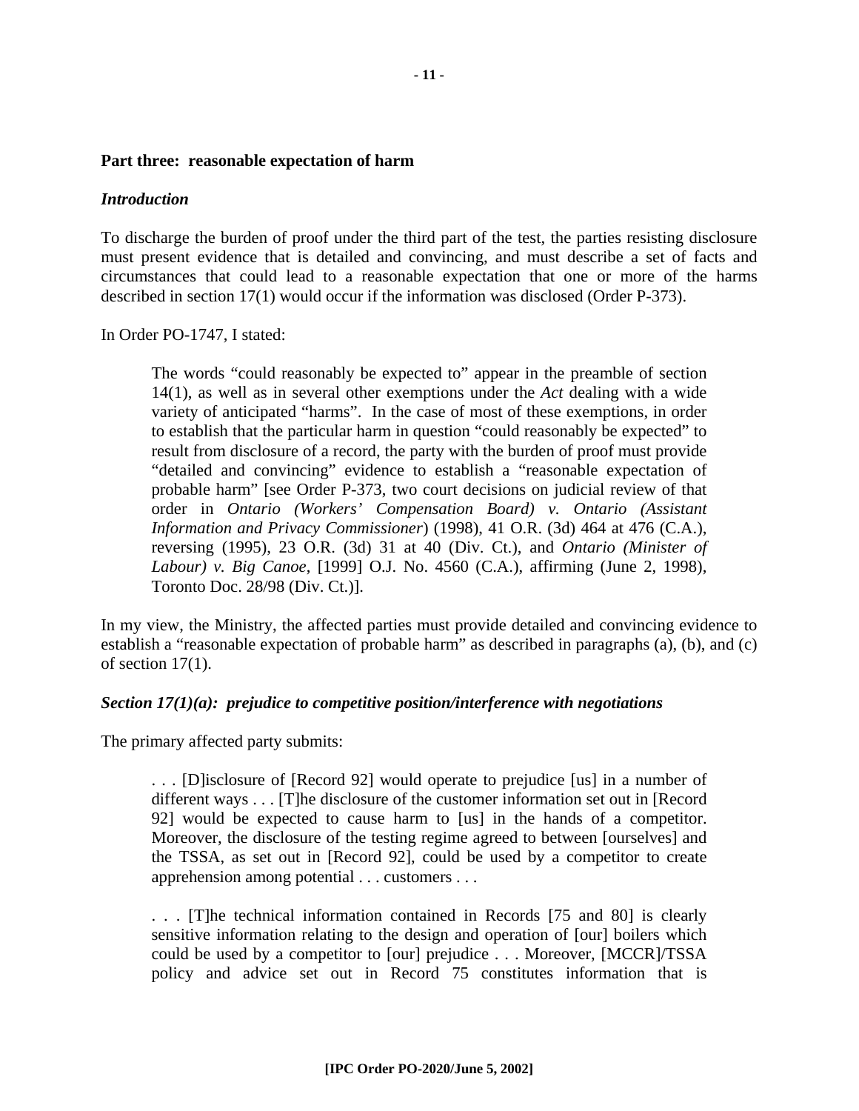#### **Part three: reasonable expectation of harm**

#### *Introduction*

To discharge the burden of proof under the third part of the test, the parties resisting disclosure must present evidence that is detailed and convincing, and must describe a set of facts and circumstances that could lead to a reasonable expectation that one or more of the harms described in section 17(1) would occur if the information was disclosed (Order P-373).

In Order PO-1747, I stated:

The words "could reasonably be expected to" appear in the preamble of section 14(1), as well as in several other exemptions under the *Act* dealing with a wide variety of anticipated "harms". In the case of most of these exemptions, in order to establish that the particular harm in question "could reasonably be expected" to result from disclosure of a record, the party with the burden of proof must provide "detailed and convincing" evidence to establish a "reasonable expectation of probable harm" [see Order P-373, two court decisions on judicial review of that order in *Ontario (Workers' Compensation Board) v. Ontario (Assistant Information and Privacy Commissioner*) (1998), 41 O.R. (3d) 464 at 476 (C.A.), reversing (1995), 23 O.R. (3d) 31 at 40 (Div. Ct.), and *Ontario (Minister of Labour) v. Big Canoe*, [1999] O.J. No. 4560 (C.A.), affirming (June 2, 1998), Toronto Doc. 28/98 (Div. Ct.)].

In my view, the Ministry, the affected parties must provide detailed and convincing evidence to establish a "reasonable expectation of probable harm" as described in paragraphs (a), (b), and (c) of section 17(1).

#### *Section 17(1)(a): prejudice to competitive position/interference with negotiations*

The primary affected party submits:

. . . [D]isclosure of [Record 92] would operate to prejudice [us] in a number of different ways . . . [T]he disclosure of the customer information set out in [Record 92] would be expected to cause harm to [us] in the hands of a competitor. Moreover, the disclosure of the testing regime agreed to between [ourselves] and the TSSA, as set out in [Record 92], could be used by a competitor to create apprehension among potential . . . customers . . .

. . . [T]he technical information contained in Records [75 and 80] is clearly sensitive information relating to the design and operation of [our] boilers which could be used by a competitor to [our] prejudice . . . Moreover, [MCCR]/TSSA policy and advice set out in Record 75 constitutes information that is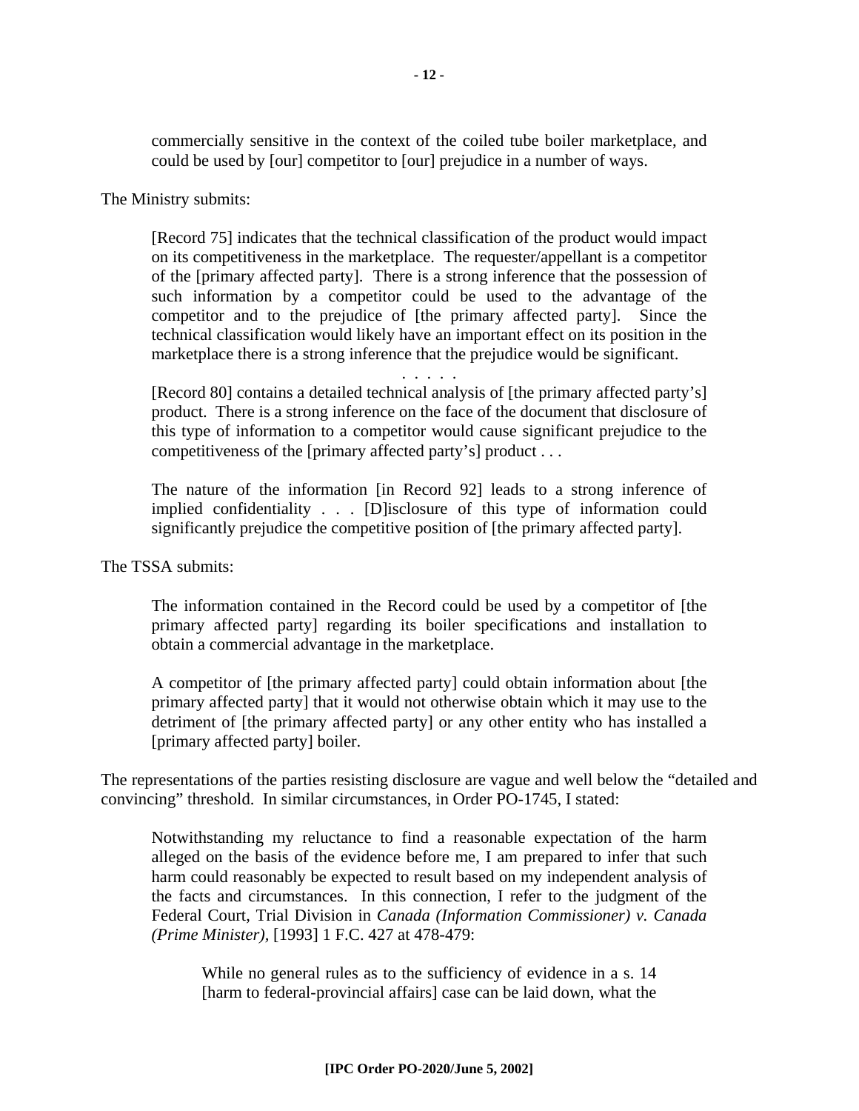commercially sensitive in the context of the coiled tube boiler marketplace, and could be used by [our] competitor to [our] prejudice in a number of ways.

The Ministry submits:

[Record 75] indicates that the technical classification of the product would impact on its competitiveness in the marketplace. The requester/appellant is a competitor of the [primary affected party]. There is a strong inference that the possession of such information by a competitor could be used to the advantage of the competitor and to the prejudice of [the primary affected party]. Since the technical classification would likely have an important effect on its position in the marketplace there is a strong inference that the prejudice would be significant.

. . . . .

[Record 80] contains a detailed technical analysis of [the primary affected party's] product. There is a strong inference on the face of the document that disclosure of this type of information to a competitor would cause significant prejudice to the competitiveness of the [primary affected party's] product . . .

The nature of the information [in Record 92] leads to a strong inference of implied confidentiality . . . [D]isclosure of this type of information could significantly prejudice the competitive position of [the primary affected party].

#### The TSSA submits:

The information contained in the Record could be used by a competitor of [the primary affected party] regarding its boiler specifications and installation to obtain a commercial advantage in the marketplace.

A competitor of [the primary affected party] could obtain information about [the primary affected party] that it would not otherwise obtain which it may use to the detriment of [the primary affected party] or any other entity who has installed a [primary affected party] boiler.

The representations of the parties resisting disclosure are vague and well below the "detailed and convincing" threshold. In similar circumstances, in Order PO-1745, I stated:

Notwithstanding my reluctance to find a reasonable expectation of the harm alleged on the basis of the evidence before me, I am prepared to infer that such harm could reasonably be expected to result based on my independent analysis of the facts and circumstances. In this connection, I refer to the judgment of the Federal Court, Trial Division in *Canada (Information Commissioner) v. Canada (Prime Minister),* [1993] 1 F.C. 427 at 478-479:

While no general rules as to the sufficiency of evidence in a s. 14 [harm to federal-provincial affairs] case can be laid down, what the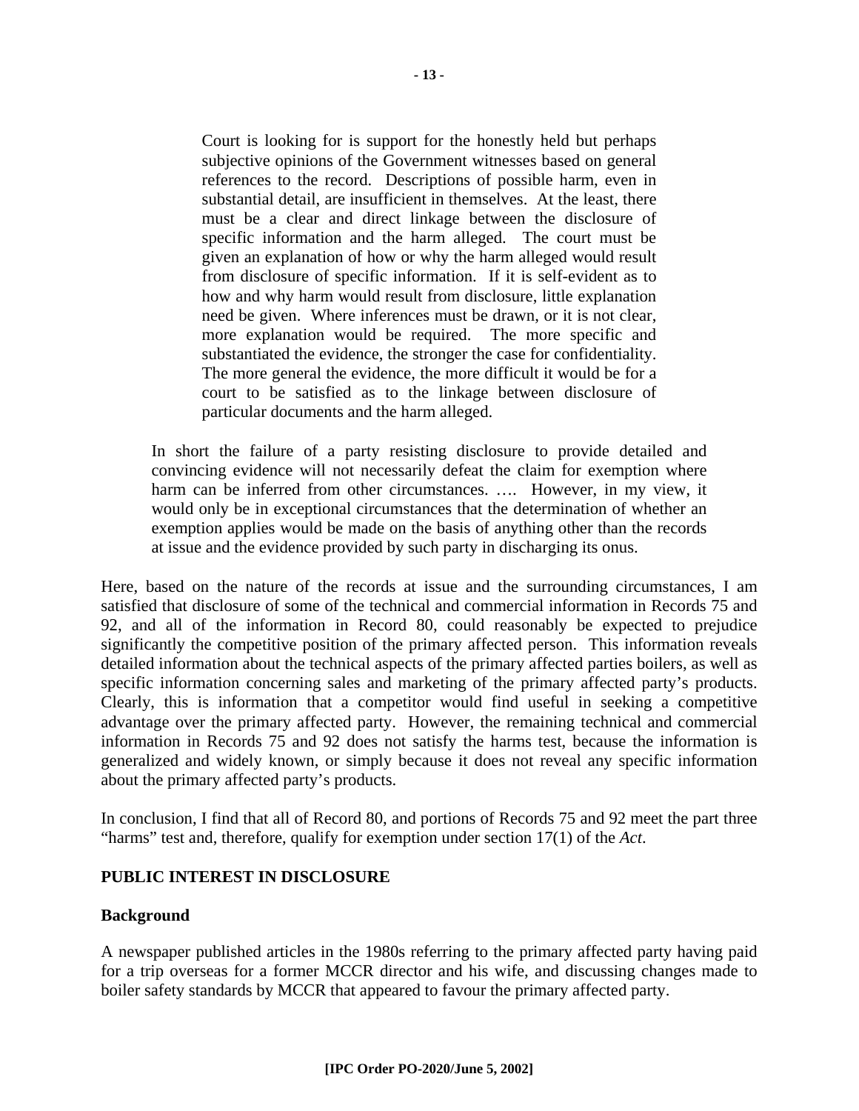Court is looking for is support for the honestly held but perhaps subjective opinions of the Government witnesses based on general references to the record. Descriptions of possible harm, even in substantial detail, are insufficient in themselves. At the least, there must be a clear and direct linkage between the disclosure of specific information and the harm alleged. The court must be given an explanation of how or why the harm alleged would result from disclosure of specific information. If it is self-evident as to how and why harm would result from disclosure, little explanation need be given. Where inferences must be drawn, or it is not clear, more explanation would be required. The more specific and substantiated the evidence, the stronger the case for confidentiality. The more general the evidence, the more difficult it would be for a court to be satisfied as to the linkage between disclosure of particular documents and the harm alleged.

In short the failure of a party resisting disclosure to provide detailed and convincing evidence will not necessarily defeat the claim for exemption where harm can be inferred from other circumstances. …. However, in my view, it would only be in exceptional circumstances that the determination of whether an exemption applies would be made on the basis of anything other than the records at issue and the evidence provided by such party in discharging its onus.

Here, based on the nature of the records at issue and the surrounding circumstances, I am satisfied that disclosure of some of the technical and commercial information in Records 75 and 92, and all of the information in Record 80, could reasonably be expected to prejudice significantly the competitive position of the primary affected person. This information reveals detailed information about the technical aspects of the primary affected parties boilers, as well as specific information concerning sales and marketing of the primary affected party's products. Clearly, this is information that a competitor would find useful in seeking a competitive advantage over the primary affected party. However, the remaining technical and commercial information in Records 75 and 92 does not satisfy the harms test, because the information is generalized and widely known, or simply because it does not reveal any specific information about the primary affected party's products.

In conclusion, I find that all of Record 80, and portions of Records 75 and 92 meet the part three "harms" test and, therefore, qualify for exemption under section 17(1) of the *Act*.

#### **PUBLIC INTEREST IN DISCLOSURE**

#### **Background**

A newspaper published articles in the 1980s referring to the primary affected party having paid for a trip overseas for a former MCCR director and his wife, and discussing changes made to boiler safety standards by MCCR that appeared to favour the primary affected party.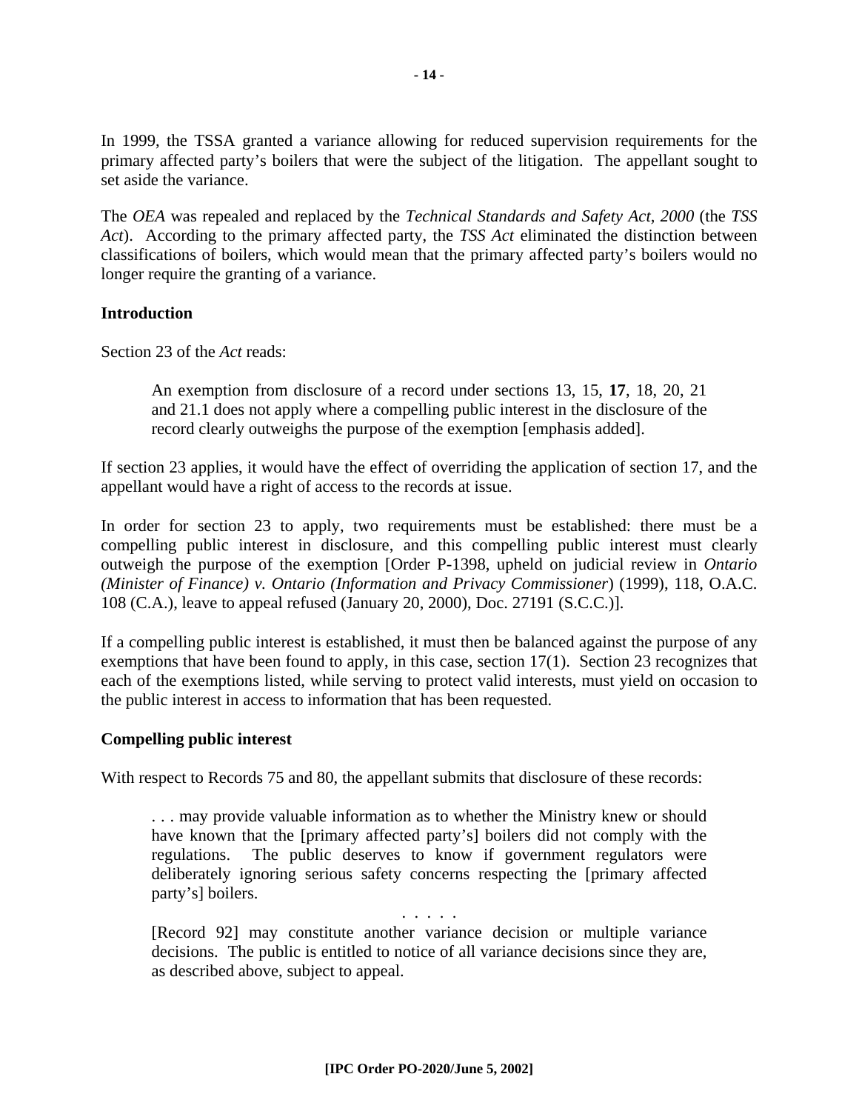In 1999, the TSSA granted a variance allowing for reduced supervision requirements for the primary affected party's boilers that were the subject of the litigation. The appellant sought to set aside the variance.

The *OEA* was repealed and replaced by the *Technical Standards and Safety Act, 2000* (the *TSS Act*). According to the primary affected party, the *TSS Act* eliminated the distinction between classifications of boilers, which would mean that the primary affected party's boilers would no longer require the granting of a variance.

#### **Introduction**

Section 23 of the *Act* reads:

An exemption from disclosure of a record under sections 13, 15, **17**, 18, 20, 21 and 21.1 does not apply where a compelling public interest in the disclosure of the record clearly outweighs the purpose of the exemption [emphasis added].

If section 23 applies, it would have the effect of overriding the application of section 17, and the appellant would have a right of access to the records at issue.

In order for section 23 to apply, two requirements must be established: there must be a compelling public interest in disclosure, and this compelling public interest must clearly outweigh the purpose of the exemption [Order P-1398, upheld on judicial review in *Ontario (Minister of Finance) v. Ontario (Information and Privacy Commissioner*) (1999), 118, O.A.C. 108 (C.A.), leave to appeal refused (January 20, 2000), Doc. 27191 (S.C.C.)].

If a compelling public interest is established, it must then be balanced against the purpose of any exemptions that have been found to apply, in this case, section 17(1). Section 23 recognizes that each of the exemptions listed, while serving to protect valid interests, must yield on occasion to the public interest in access to information that has been requested.

#### **Compelling public interest**

With respect to Records 75 and 80, the appellant submits that disclosure of these records:

. . . may provide valuable information as to whether the Ministry knew or should have known that the [primary affected party's] boilers did not comply with the regulations. The public deserves to know if government regulators were deliberately ignoring serious safety concerns respecting the [primary affected party's] boilers.

. . . . . [Record 92] may constitute another variance decision or multiple variance decisions. The public is entitled to notice of all variance decisions since they are, as described above, subject to appeal.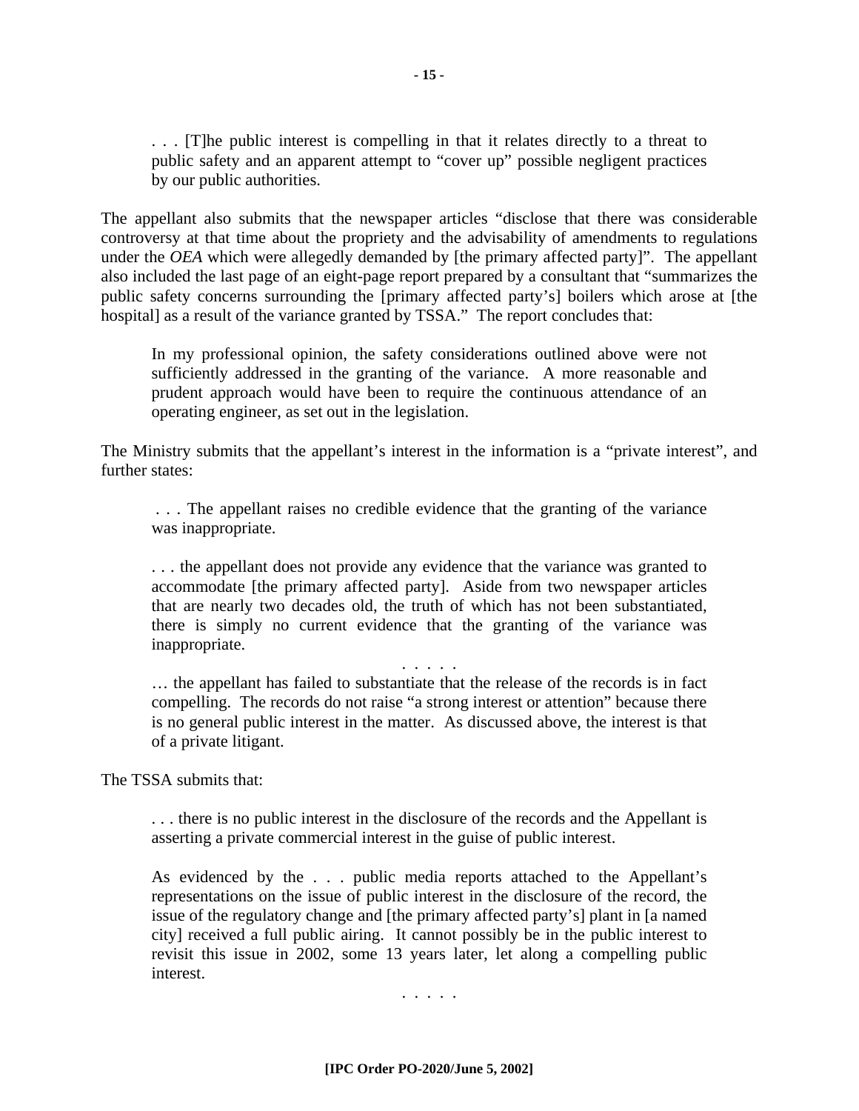. . . [T]he public interest is compelling in that it relates directly to a threat to public safety and an apparent attempt to "cover up" possible negligent practices by our public authorities.

The appellant also submits that the newspaper articles "disclose that there was considerable controversy at that time about the propriety and the advisability of amendments to regulations under the *OEA* which were allegedly demanded by [the primary affected party]". The appellant also included the last page of an eight-page report prepared by a consultant that "summarizes the public safety concerns surrounding the [primary affected party's] boilers which arose at [the hospital] as a result of the variance granted by TSSA." The report concludes that:

In my professional opinion, the safety considerations outlined above were not sufficiently addressed in the granting of the variance. A more reasonable and prudent approach would have been to require the continuous attendance of an operating engineer, as set out in the legislation.

The Ministry submits that the appellant's interest in the information is a "private interest", and further states:

 . . . The appellant raises no credible evidence that the granting of the variance was inappropriate.

. . . the appellant does not provide any evidence that the variance was granted to accommodate [the primary affected party]. Aside from two newspaper articles that are nearly two decades old, the truth of which has not been substantiated, there is simply no current evidence that the granting of the variance was inappropriate.

. . . . .

… the appellant has failed to substantiate that the release of the records is in fact compelling. The records do not raise "a strong interest or attention" because there is no general public interest in the matter. As discussed above, the interest is that of a private litigant.

The TSSA submits that:

. . . there is no public interest in the disclosure of the records and the Appellant is asserting a private commercial interest in the guise of public interest.

As evidenced by the . . . public media reports attached to the Appellant's representations on the issue of public interest in the disclosure of the record, the issue of the regulatory change and [the primary affected party's] plant in [a named city] received a full public airing. It cannot possibly be in the public interest to revisit this issue in 2002, some 13 years later, let along a compelling public interest.

. . . . .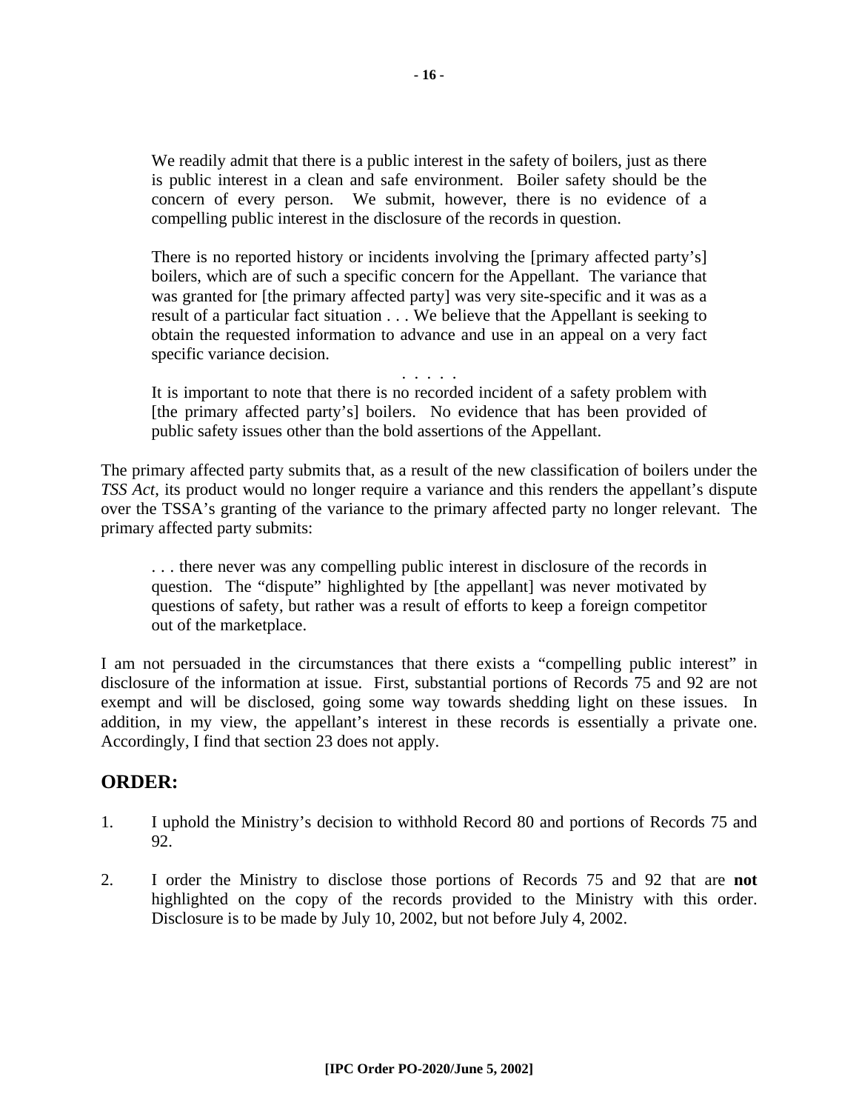We readily admit that there is a public interest in the safety of boilers, just as there is public interest in a clean and safe environment. Boiler safety should be the concern of every person. We submit, however, there is no evidence of a compelling public interest in the disclosure of the records in question.

There is no reported history or incidents involving the [primary affected party's] boilers, which are of such a specific concern for the Appellant. The variance that was granted for [the primary affected party] was very site-specific and it was as a result of a particular fact situation . . . We believe that the Appellant is seeking to obtain the requested information to advance and use in an appeal on a very fact specific variance decision.

. . . . . It is important to note that there is no recorded incident of a safety problem with [the primary affected party's] boilers. No evidence that has been provided of public safety issues other than the bold assertions of the Appellant.

The primary affected party submits that, as a result of the new classification of boilers under the *TSS Act*, its product would no longer require a variance and this renders the appellant's dispute over the TSSA's granting of the variance to the primary affected party no longer relevant. The primary affected party submits:

. . . there never was any compelling public interest in disclosure of the records in question. The "dispute" highlighted by [the appellant] was never motivated by questions of safety, but rather was a result of efforts to keep a foreign competitor out of the marketplace.

I am not persuaded in the circumstances that there exists a "compelling public interest" in disclosure of the information at issue. First, substantial portions of Records 75 and 92 are not exempt and will be disclosed, going some way towards shedding light on these issues. In addition, in my view, the appellant's interest in these records is essentially a private one. Accordingly, I find that section 23 does not apply.

## **ORDER:**

- 1. I uphold the Ministry's decision to withhold Record 80 and portions of Records 75 and 92.
- 2. I order the Ministry to disclose those portions of Records 75 and 92 that are **not** highlighted on the copy of the records provided to the Ministry with this order. Disclosure is to be made by July 10, 2002, but not before July 4, 2002.